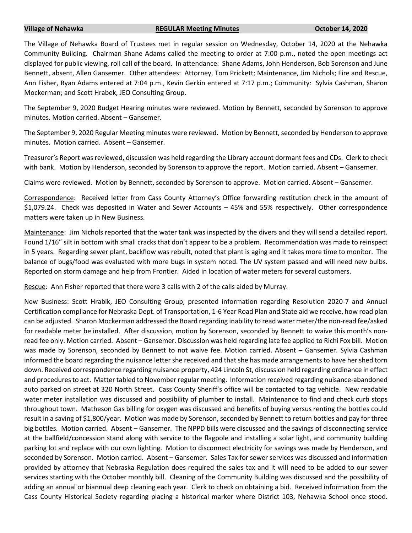## **Village of Nehawka REGULAR Meeting Minutes October 14, 2020**

The Village of Nehawka Board of Trustees met in regular session on Wednesday, October 14, 2020 at the Nehawka Community Building. Chairman Shane Adams called the meeting to order at 7:00 p.m., noted the open meetings act displayed for public viewing, roll call of the board. In attendance: Shane Adams, John Henderson, Bob Sorenson and June Bennett, absent, Allen Gansemer. Other attendees: Attorney, Tom Prickett; Maintenance, Jim Nichols; Fire and Rescue, Ann Fisher, Ryan Adams entered at 7:04 p.m., Kevin Gerkin entered at 7:17 p.m.; Community: Sylvia Cashman, Sharon Mockerman; and Scott Hrabek, JEO Consulting Group.

The September 9, 2020 Budget Hearing minutes were reviewed. Motion by Bennett, seconded by Sorenson to approve minutes. Motion carried. Absent – Gansemer.

The September 9, 2020 Regular Meeting minutes were reviewed. Motion by Bennett, seconded by Henderson to approve minutes. Motion carried. Absent – Gansemer.

Treasurer's Report was reviewed, discussion was held regarding the Library account dormant fees and CDs. Clerk to check with bank. Motion by Henderson, seconded by Sorenson to approve the report. Motion carried. Absent – Gansemer.

Claims were reviewed. Motion by Bennett, seconded by Sorenson to approve. Motion carried. Absent – Gansemer.

Correspondence: Received letter from Cass County Attorney's Office forwarding restitution check in the amount of \$1,079.24. Check was deposited in Water and Sewer Accounts – 45% and 55% respectively. Other correspondence matters were taken up in New Business.

Maintenance: Jim Nichols reported that the water tank was inspected by the divers and they will send a detailed report. Found 1/16" silt in bottom with small cracks that don't appear to be a problem. Recommendation was made to reinspect in 5 years. Regarding sewer plant, backflow was rebuilt, noted that plant is aging and it takes more time to monitor. The balance of bugs/food was evaluated with more bugs in system noted. The UV system passed and will need new bulbs. Reported on storm damage and help from Frontier. Aided in location of water meters for several customers.

Rescue: Ann Fisher reported that there were 3 calls with 2 of the calls aided by Murray.

New Business: Scott Hrabik, JEO Consulting Group, presented information regarding Resolution 2020-7 and Annual Certification compliance for Nebraska Dept. of Transportation, 1-6 Year Road Plan and State aid we receive, how road plan can be adjusted. Sharon Mockerman addressed the Board regarding inability to read water meter/the non-read fee/asked for readable meter be installed. After discussion, motion by Sorenson, seconded by Bennett to waive this month's nonread fee only. Motion carried. Absent – Gansemer. Discussion was held regarding late fee applied to Richi Fox bill. Motion was made by Sorenson, seconded by Bennett to not waive fee. Motion carried. Absent – Gansemer. Sylvia Cashman informed the board regarding the nuisance letter she received and that she has made arrangements to have her shed torn down. Received correspondence regarding nuisance property, 424 Lincoln St, discussion held regarding ordinance in effect and procedures to act. Matter tabled to November regular meeting. Information received regarding nuisance-abandoned auto parked on street at 320 North Street. Cass County Sheriff's office will be contacted to tag vehicle. New readable water meter installation was discussed and possibility of plumber to install. Maintenance to find and check curb stops throughout town. Matheson Gas billing for oxygen was discussed and benefits of buying versus renting the bottles could result in a saving of \$1,800/year. Motion was made by Sorenson, seconded by Bennett to return bottles and pay for three big bottles. Motion carried. Absent – Gansemer. The NPPD bills were discussed and the savings of disconnecting service at the ballfield/concession stand along with service to the flagpole and installing a solar light, and community building parking lot and replace with our own lighting. Motion to disconnect electricity for savings was made by Henderson, and seconded by Sorenson. Motion carried. Absent – Gansemer. Sales Tax for sewer services was discussed and information provided by attorney that Nebraska Regulation does required the sales tax and it will need to be added to our sewer services starting with the October monthly bill. Cleaning of the Community Building was discussed and the possibility of adding an annual or biannual deep cleaning each year. Clerk to check on obtaining a bid. Received information from the Cass County Historical Society regarding placing a historical marker where District 103, Nehawka School once stood.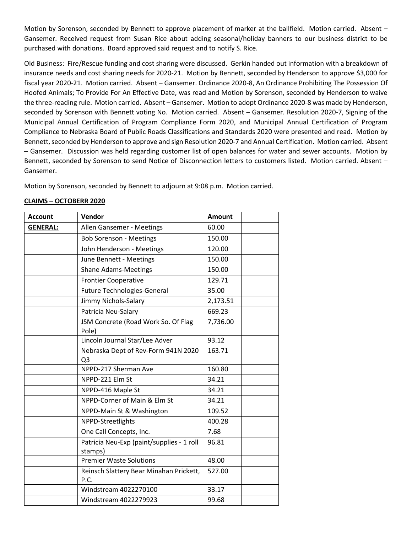Motion by Sorenson, seconded by Bennett to approve placement of marker at the ballfield. Motion carried. Absent – Gansemer. Received request from Susan Rice about adding seasonal/holiday banners to our business district to be purchased with donations. Board approved said request and to notify S. Rice.

Old Business: Fire/Rescue funding and cost sharing were discussed. Gerkin handed out information with a breakdown of insurance needs and cost sharing needs for 2020-21. Motion by Bennett, seconded by Henderson to approve \$3,000 for fiscal year 2020-21. Motion carried. Absent – Gansemer. Ordinance 2020-8, An Ordinance Prohibiting The Possession Of Hoofed Animals; To Provide For An Effective Date, was read and Motion by Sorenson, seconded by Henderson to waive the three-reading rule. Motion carried. Absent – Gansemer. Motion to adopt Ordinance 2020-8 was made by Henderson, seconded by Sorenson with Bennett voting No. Motion carried. Absent – Gansemer. Resolution 2020-7, Signing of the Municipal Annual Certification of Program Compliance Form 2020, and Municipal Annual Certification of Program Compliance to Nebraska Board of Public Roads Classifications and Standards 2020 were presented and read. Motion by Bennett, seconded by Henderson to approve and sign Resolution 2020-7 and Annual Certification. Motion carried. Absent – Gansemer. Discussion was held regarding customer list of open balances for water and sewer accounts. Motion by Bennett, seconded by Sorenson to send Notice of Disconnection letters to customers listed. Motion carried. Absent – Gansemer.

Motion by Sorenson, seconded by Bennett to adjourn at 9:08 p.m. Motion carried.

## **CLAIMS – OCTOBERR 2020**

| <b>Account</b>  | Vendor                                                | <b>Amount</b> |
|-----------------|-------------------------------------------------------|---------------|
| <b>GENERAL:</b> | Allen Gansemer - Meetings                             | 60.00         |
|                 | <b>Bob Sorenson - Meetings</b>                        | 150.00        |
|                 | John Henderson - Meetings                             | 120.00        |
|                 | June Bennett - Meetings                               | 150.00        |
|                 | <b>Shane Adams-Meetings</b>                           | 150.00        |
|                 | <b>Frontier Cooperative</b>                           | 129.71        |
|                 | <b>Future Technologies-General</b>                    | 35.00         |
|                 | Jimmy Nichols-Salary                                  | 2,173.51      |
|                 | Patricia Neu-Salary                                   | 669.23        |
|                 | JSM Concrete (Road Work So. Of Flag<br>Pole)          | 7,736.00      |
|                 | Lincoln Journal Star/Lee Adver                        | 93.12         |
|                 | Nebraska Dept of Rev-Form 941N 2020<br>Q <sub>3</sub> | 163.71        |
|                 | NPPD-217 Sherman Ave                                  | 160.80        |
|                 | NPPD-221 Elm St                                       | 34.21         |
|                 | NPPD-416 Maple St                                     | 34.21         |
|                 | NPPD-Corner of Main & Elm St                          | 34.21         |
|                 | NPPD-Main St & Washington                             | 109.52        |
|                 | NPPD-Streetlights                                     | 400.28        |
|                 | One Call Concepts, Inc.                               | 7.68          |
|                 | Patricia Neu-Exp (paint/supplies - 1 roll<br>stamps)  | 96.81         |
|                 | <b>Premier Waste Solutions</b>                        | 48.00         |
|                 | Reinsch Slattery Bear Minahan Prickett,<br>P.C.       | 527.00        |
|                 | Windstream 4022270100                                 | 33.17         |
|                 | Windstream 4022279923                                 | 99.68         |